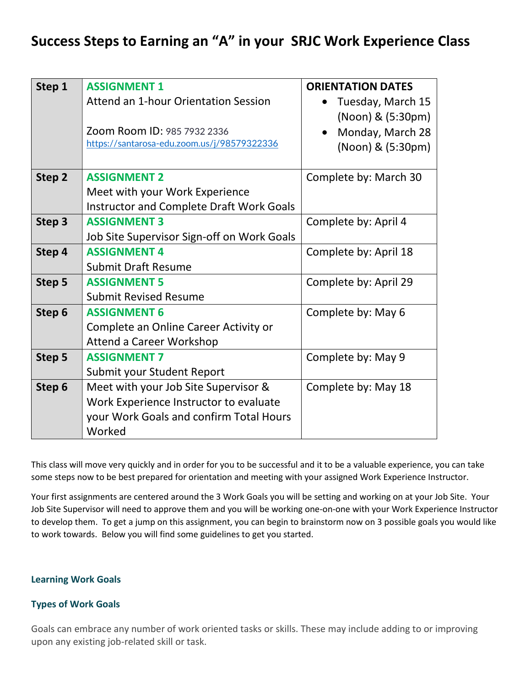## **Success Steps to Earning an "A" in your SRJC Work Experience Class**

| Step 1 | <b>ASSIGNMENT 1</b>                             | <b>ORIENTATION DATES</b> |
|--------|-------------------------------------------------|--------------------------|
|        | Attend an 1-hour Orientation Session            | Tuesday, March 15        |
|        |                                                 | (Noon) & (5:30pm)        |
|        | Zoom Room ID: 985 7932 2336                     | Monday, March 28         |
|        | https://santarosa-edu.zoom.us/j/98579322336     | (Noon) & (5:30pm)        |
|        |                                                 |                          |
| Step 2 | <b>ASSIGNMENT 2</b>                             | Complete by: March 30    |
|        | Meet with your Work Experience                  |                          |
|        | <b>Instructor and Complete Draft Work Goals</b> |                          |
| Step 3 | <b>ASSIGNMENT 3</b>                             | Complete by: April 4     |
|        | Job Site Supervisor Sign-off on Work Goals      |                          |
| Step 4 | <b>ASSIGNMENT 4</b>                             | Complete by: April 18    |
|        | <b>Submit Draft Resume</b>                      |                          |
| Step 5 | <b>ASSIGNMENT 5</b>                             | Complete by: April 29    |
|        | <b>Submit Revised Resume</b>                    |                          |
| Step 6 | <b>ASSIGNMENT 6</b>                             | Complete by: May 6       |
|        | Complete an Online Career Activity or           |                          |
|        | <b>Attend a Career Workshop</b>                 |                          |
| Step 5 | <b>ASSIGNMENT 7</b>                             | Complete by: May 9       |
|        | Submit your Student Report                      |                          |
| Step 6 | Meet with your Job Site Supervisor &            | Complete by: May 18      |
|        | Work Experience Instructor to evaluate          |                          |
|        | your Work Goals and confirm Total Hours         |                          |
|        | Worked                                          |                          |

This class will move very quickly and in order for you to be successful and it to be a valuable experience, you can take some steps now to be best prepared for orientation and meeting with your assigned Work Experience Instructor.

Your first assignments are centered around the 3 Work Goals you will be setting and working on at your Job Site. Your Job Site Supervisor will need to approve them and you will be working one-on-one with your Work Experience Instructor to develop them. To get a jump on this assignment, you can begin to brainstorm now on 3 possible goals you would like to work towards. Below you will find some guidelines to get you started.

## **Learning Work Goals**

## **Types of Work Goals**

Goals can embrace any number of work oriented tasks or skills. These may include adding to or improving upon any existing job-related skill or task.